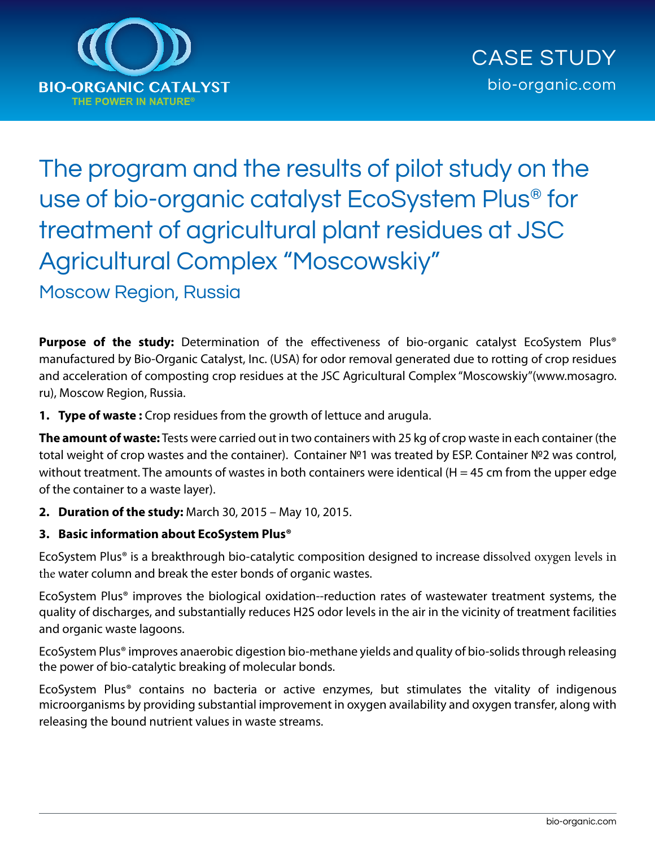

# The program and the results of pilot study on the use of bio-organic catalyst EcoSystem Plus® for treatment of agricultural plant residues at JSC Agricultural Complex "Moscowskiy"

Moscow Region, Russia

Purpose of the study: Determination of the effectiveness of bio-organic catalyst EcoSystem Plus® manufactured by Bio-Organic Catalyst, Inc. (USA) for odor removal generated due to rotting of crop residues and acceleration of composting crop residues at the JSC Agricultural Complex "Moscowskiy"(www.mosagro. ru), Moscow Region, Russia.

**1. Type of waste :** Crop residues from the growth of lettuce and arugula.

**The amount of waste:** Tests were carried out in two containers with 25 kg of crop waste in each container (the total weight of crop wastes and the container). Container Nº1 was treated by ESP. Container Nº2 was control, without treatment. The amounts of wastes in both containers were identical (H = 45 cm from the upper edge of the container to a waste layer).

**2. Duration of the study:** March 30, 2015 – May 10, 2015.

# **3. Basic information about EcoSystem Plus®**

EcoSystem Plus® is a breakthrough bio-catalytic composition designed to increase dissolved oxygen levels in the water column and break the ester bonds of organic wastes.

EcoSystem Plus® improves the biological oxidation-‐reduction rates of wastewater treatment systems, the quality of discharges, and substantially reduces H2S odor levels in the air in the vicinity of treatment facilities and organic waste lagoons.

EcoSystem Plus® improves anaerobic digestion bio-methane yields and quality of bio-solids through releasing the power of bio-catalytic breaking of molecular bonds.

EcoSystem Plus® contains no bacteria or active enzymes, but stimulates the vitality of indigenous microorganisms by providing substantial improvement in oxygen availability and oxygen transfer, along with releasing the bound nutrient values in waste streams.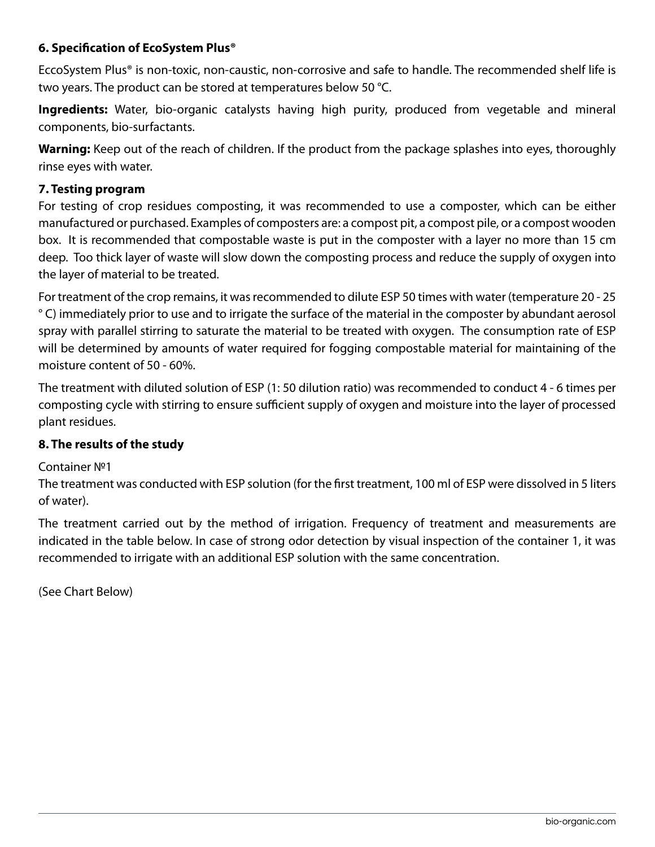# **6. Specification of EcoSystem Plus®**

EccoSystem Plus® is non-toxic, non-caustic, non-corrosive and safe to handle. The recommended shelf life is two years. The product can be stored at temperatures below 50 °C.

**Ingredients:** Water, bio-organic catalysts having high purity, produced from vegetable and mineral components, bio-surfactants.

**Warning:** Keep out of the reach of children. If the product from the package splashes into eyes, thoroughly rinse eyes with water.

#### **7. Testing program**

For testing of crop residues composting, it was recommended to use a composter, which can be either manufactured or purchased. Examples of composters are: a compost pit, a compost pile, or a compost wooden box. It is recommended that compostable waste is put in the composter with a layer no more than 15 cm deep. Too thick layer of waste will slow down the composting process and reduce the supply of oxygen into the layer of material to be treated.

For treatment of the crop remains, it was recommended to dilute ESP 50 times with water (temperature 20 - 25 ° C) immediately prior to use and to irrigate the surface of the material in the composter by abundant aerosol spray with parallel stirring to saturate the material to be treated with oxygen. The consumption rate of ESP will be determined by amounts of water required for fogging compostable material for maintaining of the moisture content of 50 - 60%.

The treatment with diluted solution of ESP (1: 50 dilution ratio) was recommended to conduct 4 - 6 times per composting cycle with stirring to ensure sufficient supply of oxygen and moisture into the layer of processed plant residues.

## **8. The results of the study**

#### Container №1

The treatment was conducted with ESP solution (for the first treatment, 100 ml of ESP were dissolved in 5 liters of water).

The treatment carried out by the method of irrigation. Frequency of treatment and measurements are indicated in the table below. In case of strong odor detection by visual inspection of the container 1, it was recommended to irrigate with an additional ESP solution with the same concentration.

(See Chart Below)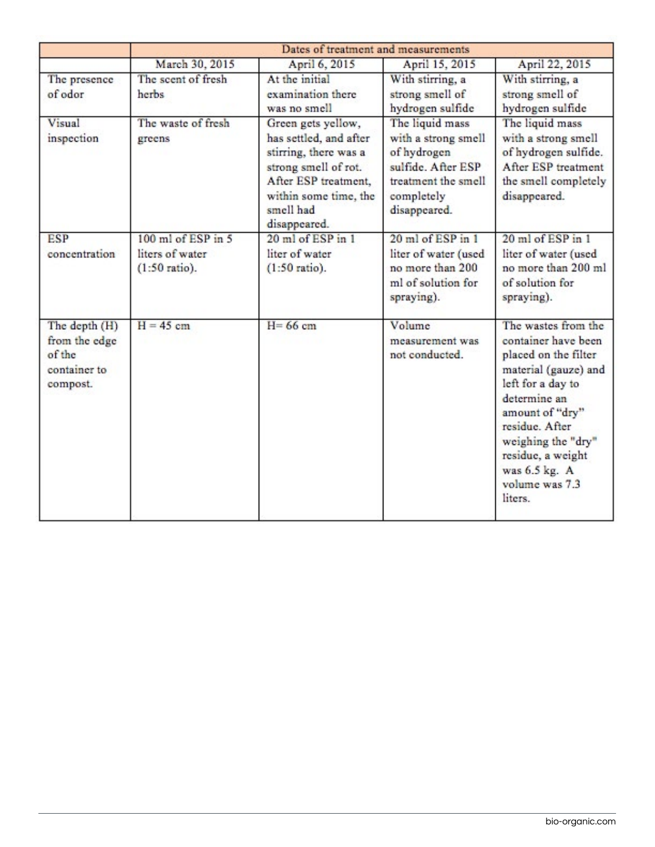|                                                                      | Dates of treatment and measurements                      |                                                                                                                                                                             |                                                                                                                                  |                                                                                                                                                                                                                                                               |  |
|----------------------------------------------------------------------|----------------------------------------------------------|-----------------------------------------------------------------------------------------------------------------------------------------------------------------------------|----------------------------------------------------------------------------------------------------------------------------------|---------------------------------------------------------------------------------------------------------------------------------------------------------------------------------------------------------------------------------------------------------------|--|
|                                                                      | March 30, 2015                                           | April 6, 2015                                                                                                                                                               | April 15, 2015                                                                                                                   | April 22, 2015                                                                                                                                                                                                                                                |  |
| The presence<br>of odor                                              | The scent of fresh<br>herbs                              | At the initial<br>examination there<br>was no smell                                                                                                                         | With stirring, a<br>strong smell of<br>hydrogen sulfide                                                                          | With stirring, a<br>strong smell of<br>hydrogen sulfide                                                                                                                                                                                                       |  |
| Visual<br>inspection                                                 | The waste of fresh<br>greens                             | Green gets yellow,<br>has settled, and after<br>stirring, there was a<br>strong smell of rot.<br>After ESP treatment,<br>within some time, the<br>smell had<br>disappeared. | The liquid mass<br>with a strong smell<br>of hydrogen<br>sulfide. After ESP<br>treatment the smell<br>completely<br>disappeared. | The liquid mass<br>with a strong smell<br>of hydrogen sulfide.<br>After ESP treatment<br>the smell completely<br>disappeared.                                                                                                                                 |  |
| <b>ESP</b><br>concentration                                          | 100 ml of ESP in 5<br>liters of water<br>$(1:50$ ratio). | 20 ml of ESP in 1<br>liter of water<br>$(1:50$ ratio).                                                                                                                      | 20 ml of ESP in 1<br>liter of water (used<br>no more than 200<br>ml of solution for<br>spraying).                                | 20 ml of ESP in 1<br>liter of water (used<br>no more than 200 ml<br>of solution for<br>spraying).                                                                                                                                                             |  |
| The depth (H)<br>from the edge<br>of the<br>container to<br>compost. | $H = 45$ cm                                              | $H = 66$ cm                                                                                                                                                                 | Volume<br>measurement was<br>not conducted.                                                                                      | The wastes from the<br>container have been<br>placed on the filter<br>material (gauze) and<br>left for a day to<br>determine an<br>amount of "dry"<br>residue. After<br>weighing the "dry"<br>residue, a weight<br>was 6.5 kg. A<br>volume was 7.3<br>liters. |  |